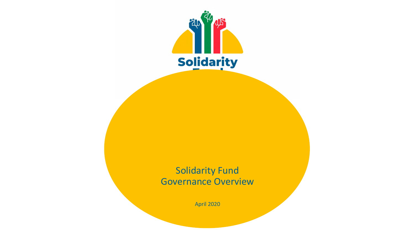

Solidarity Fund Governance Overview

April 2020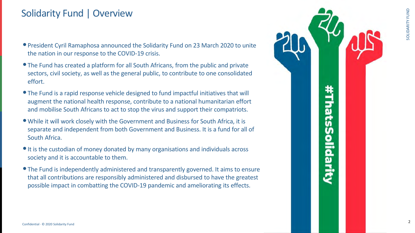

# **hatsS** olidari

2

# Solidarity Fund | Overview

- •President Cyril Ramaphosa announced the Solidarity Fund on 23 March 2020 to unite the nation in our response to the COVID-19 crisis.
- The Fund has created a platform for all South Africans, from the public and private sectors, civil society, as well as the general public, to contribute to one consolidated effort.
- The Fund is a rapid response vehicle designed to fund impactful initiatives that will augment the national health response, contribute to a national humanitarian effort and mobilise South Africans to act to stop the virus and support their compatriots.
- •While it will work closely with the Government and Business for South Africa, it is separate and independent from both Government and Business. It is a fund for all of South Africa.
- It is the custodian of money donated by many organisations and individuals across society and it is accountable to them.
- •The Fund is independently administered and transparently governed. It aims to ensure that all contributions are responsibly administered and disbursed to have the greatest possible impact in combatting the COVID-19 pandemic and ameliorating its effects.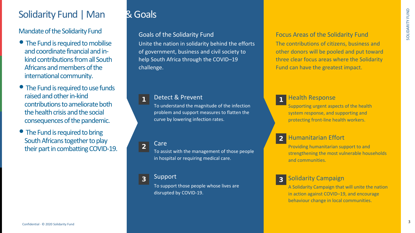



## 1

2

3

#### Health Response

Supporting urgent aspects of the health system response, and supporting and protecting front-line health workers.

#### Solidarity Campaign

A Solidarity Campaign that will unite the nation in action against COVID–19, and encourage behaviour change in local communities.

#### Humanitarian Effort

Providing humanitarian support to and strengthening the most vulnerable households and communities.

- The Fund is required to mobilise and coordinate financial and inkind contributions from all South Africans and members of the international community.
- The Fund is required to use funds raised and other in-kind contributions to ameliorate both the health crisis and the social consequences of the pandemic.
- The Fund is required to bring South Africans together to play their part in combatting COVID-19.

Focus Areas of the Solidarity Fund The contributions of citizens, business and other donors will be pooled and put toward three clear focus areas where the Solidarity Fund can have the greatest impact.

# Solidarity Fund | Mandate & Goals

Mandate of the Solidarity Fund

1

2

3

#### Detect & Prevent

To understand the magnitude of the infection problem and support measures to flatten the curve by lowering infection rates.

Care

To assist with the management of those people in hospital or requiring medical care.

## Support

To support those people whose lives are disrupted by COVID-19.

# Unite the nation in solidarity behind the efforts

Goals of the Solidarity Fund of government, business and civil society to help South Africa through the COVID–19 challenge.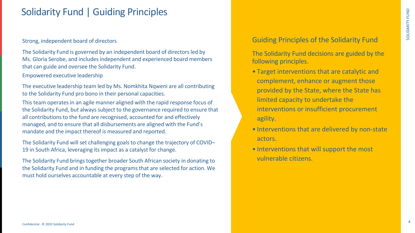

# Solidarity Fund | Guiding Principles

Strong, independent board of directors

The Solidarity Fund is governed by an independent board of directors led by Ms. Gloria Serobe, and includes independent and experienced board members that can guide and oversee the Solidarity Fund.

Empowered executive leadership

The executive leadership team led by Ms. Nomkhita Nqweni are all contributing to the Solidarity Fund pro bono in their personal capacities.

This team operates in an agile manner aligned with the rapid response focus of the Solidarity Fund, but always subject to the governance required to ensure that all contributions to the fund are recognised, accounted for and effectively managed, and to ensure that all disbursements are aligned with the Fund's mandate and the impact thereof is measured and reported.

The Solidarity Fund will set challenging goals to change the trajectory of COVID– 19 in South Africa, leveraging its impact as a catalyst for change.

The Solidarity Fund brings together broader South African society in donating to the Solidarity Fund and in funding the programs that are selected for action. We must hold ourselves accountable at every step of the way.



## Guiding Principles of the Solidarity Fund

The Solidarity Fund decisions are guided by the following principles.

- Target interventions that are catalytic and complement, enhance or augment those provided by the State, where the State has limited capacity to undertake the interventions or insufficient procurement agility.
- Interventions that are delivered by non-state actors.
- Interventions that will support the most vulnerable citizens.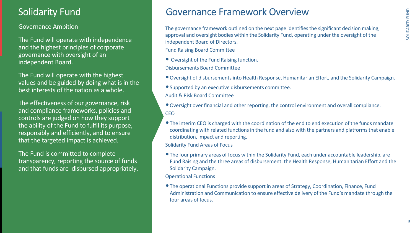









# Governance Framework Overview

The governance framework outlined on the next page identifies the significant decision making, approval and oversight bodies within the Solidarity Fund, operating under the oversight of the independent Board of Directors. Fund Raising Board Committee

- 
- 
- •Supported by an executive disbursements committee.

•Oversight over financial and other reporting, the control environment and overall compliance.

•The interim CEO is charged with the coordination of the end to end execution of the funds mandate coordinating with related functions in the fund and also with the partners and platforms that enable

- Oversight of the Fund Raising function. Disbursements Board Committee
- •Oversight of disbursements into Health Response, Humanitarian Effort, and the Solidarity Campaign.
- Audit & Risk Board Committee
- **CEO**
- distribution, impact and reporting. Solidarity Fund Areas of Focus
- Solidarity Campaign.
- Operational Functions
- four areas of focus.

•The four primary areas of focus within the Solidarity Fund, each under accountable leadership, are Fund Raising and the three areas of disbursement: the Health Response, Humanitarian Effort and the

•The operational Functions provide support in areas of Strategy, Coordination, Finance, Fund Administration and Communication to ensure effective delivery of the Fund's mandate through the

5

### Governance Ambition

The Fund will operate with independence and the highest principles of corporate governance with oversight of an independent Board.

The Fund will operate with the highest values and be guided by doing what is in the best interests of the nation as a whole.

The effectiveness of our governance, risk and compliance frameworks, policies and controls are judged on how they support the ability of the Fund to fulfil its purpose, responsibly and efficiently, and to ensure that the targeted impact is achieved.

The Fund is committed to complete transparency, reporting the source of funds and that funds are disbursed appropriately.

# Solidarity Fund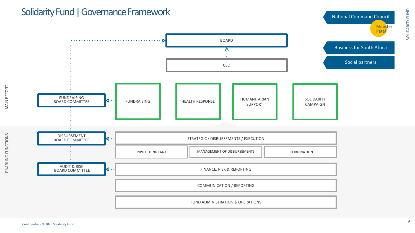



MAIN EFFORT

ENABLING FUNCTIONS

ENABLING FUNCTIONS



# Solidarity Fund | Governance Framework

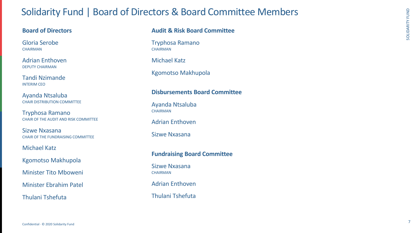

Gloria Serobe **CHAIRMAN** 

# Solidarity Fund | Board of Directors & Board Committee Members

### **Board of Directors**

Adrian Enthoven DEPUTY CHAIRMAN

Tandi Nzimande INTERIM CEO

Ayanda Ntsaluba CHAIR DISTRIBUTION COMMITTEE Tryphosa Ramano **CHAIRMAN** 

Ayanda Ntsaluba **CHAIRMAN** 

Tryphosa Ramano CHAIR OF THE AUDIT AND RISK COMMITTEE

> Sizwe Nxasana **CHAIRMAN**

Sizwe Nxasana CHAIR OF THE FUNDRAISING COMMITTEE

Michael Katz

Kgomotso Makhupola

Minister Tito Mboweni

Minister Ebrahim Patel

Thulani Tshefuta

## **Audit & Risk Board Committee**

Michael Katz

Kgomotso Makhupola

### **Disbursements Board Committee**

Adrian Enthoven

Sizwe Nxasana

## **Fundraising Board Committee**

Adrian Enthoven

Thulani Tshefuta

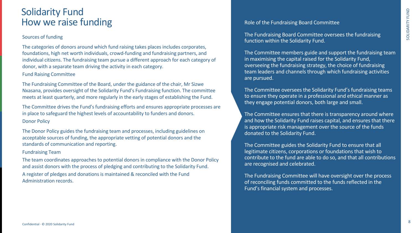

# Solidarity Fund How we raise funding

#### Sources of funding

The categories of donors around which fund raising takes places includes corporates, foundations, high net worth individuals, crowd-funding and fundraising partners, and individual citizens. The fundraising team pursue a different approach for each category of donor, with a separate team driving the activity in each category.

Fund Raising Committee

The Fundraising Committee of the Board, under the guidance of the chair, Mr Sizwe Nxasana, provides oversight of the Solidarity Fund's Fundraising function. The committee meets at least quarterly, and more regularly in the early stages of establishing the Fund.

The Committee members guide and support the fundraising team in maximising the capital raised for the Solidarity Fund, overseeing the fundraising strategy, the choice of fundraising team leaders and channels through which fundraising activities are pursued.

The Committee drives the Fund's fundraising efforts and ensures appropriate processes are in place to safeguard the highest levels of accountability to funders and donors. Donor Policy

The Donor Policy guides the fundraising team and processes, including guidelines on acceptable sources of funding, the appropriate vetting of potential donors and the standards of communication and reporting.

Fundraising Team

The team coordinates approaches to potential donors in compliance with the Donor Policy and assist donors with the process of pledging and contributing to the Solidarity Fund. A register of pledges and donations is maintained & reconciled with the Fund Administration records.



Role of the Fundraising Board Committee

The Fundraising Board Committee oversees the fundraising function within the Solidarity Fund.

The Committee oversees the Solidarity Fund's fundraising teams to ensure they operate in a professional and ethical manner as they engage potential donors, both large and small.

The Committee ensures that there is transparency around where and how the Solidarity Fund raises capital, and ensures that there is appropriate risk management over the source of the funds donated to the Solidarity Fund.

The Committee guides the Solidarity Fund to ensure that all legitimate citizens, corporations or foundations that wish to contribute to the fund are able to do so, and that all contributions are recognised and celebrated.

The Fundraising Committee will have oversight over the process of reconciling funds committed to the funds reflected in the Fund's financial system and processes.

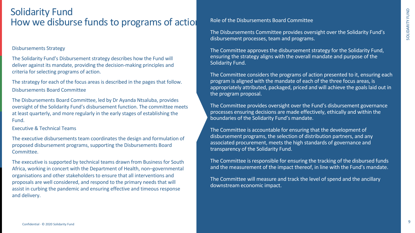SOLIDARITY FUND SOLIDARITY FUND

# Solidarity Fund How we disburse funds to programs of actio

#### Disbursements Strategy

The Solidarity Fund's Disbursement strategy describes how the Fund will deliver against its mandate, providing the decision-making principles and criteria for selecting programs of action.

The strategy for each of the focus areas is described in the pages that follow. Disbursements Board Committee

The Disbursements Board Committee, led by Dr Ayanda Ntsaluba, provides oversight of the Solidarity Fund's disbursement function. The committee meets at least quarterly, and more regularly in the early stages of establishing the Fund.

Executive & Technical Teams

The executive disbursements team coordinates the design and formulation of proposed disbursement programs, supporting the Disbursements Board Committee.

The executive is supported by technical teams drawn from Business for South Africa, working in concert with the Department of Health, non–governmental organisations and other stakeholders to ensure that all interventions and proposals are well considered, and respond to the primary needs that will assist in curbing the pandemic and ensuring effective and timeous response and delivery.

9

Role of the Disbursements Board Committee

The Disbursements Committee provides oversight over the Solidarity Fund's disbursement processes, team and programs.

The Committee approves the disbursement strategy for the Solidarity Fund, ensuring the strategy aligns with the overall mandate and purpose of the Solidarity Fund.

The Committee considers the programs of action presented to it, ensuring each program is aligned with the mandate of each of the three focus areas, is appropriately attributed, packaged, priced and will achieve the goals laid out in the program proposal.

The Committee provides oversight over the Fund's disbursement governance processes ensuring decisions are made effectively, ethically and within the boundaries of the Solidarity Fund's mandate.

The Committee is accountable for ensuring that the development of disbursement programs, the selection of distribution partners, and any associated procurement, meets the high standards of governance and transparency of the Solidarity Fund.

The Committee is responsible for ensuring the tracking of the disbursed funds and the measurement of the impact thereof, in line with the Fund's mandate.

The Committee will measure and track the level of spend and the ancillary downstream economic impact.

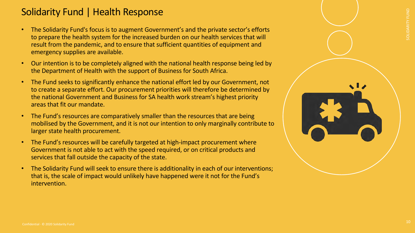



# Solidarity Fund | Health Response

10

- The Solidarity Fund's focus is to augment Government's and the private sector's efforts to prepare the health system for the increased burden on our health services that will result from the pandemic, and to ensure that sufficient quantities of equipment and emergency supplies are available.
- Our intention is to be completely aligned with the national health response being led by the Department of Health with the support of Business for South Africa.
- The Fund seeks to significantly enhance the national effort led by our Government, not to create a separate effort. Our procurement priorities will therefore be determined by the national Government and Business for SA health work stream's highest priority areas that fit our mandate.
- The Fund's resources are comparatively smaller than the resources that are being mobilised by the Government, and it is not our intention to only marginally contribute to larger state health procurement.
- The Fund's resources will be carefully targeted at high-impact procurement where Government is not able to act with the speed required, or on critical products and services that fall outside the capacity of the state.
- The Solidarity Fund will seek to ensure there is additionality in each of our interventions; that is, the scale of impact would unlikely have happened were it not for the Fund's intervention.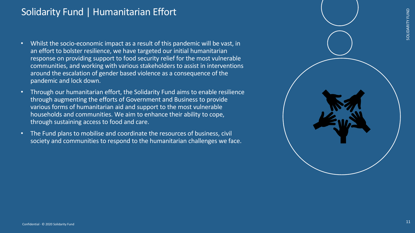



# Solidarity Fund | Humanitarian Effort



- Whilst the socio-economic impact as a result of this pandemic will be vast, in an effort to bolster resilience, we have targeted our initial humanitarian response on providing support to food security relief for the most vulnerable communities, and working with various stakeholders to assist in interventions around the escalation of gender based violence as a consequence of the pandemic and lock down.
- Through our humanitarian effort, the Solidarity Fund aims to enable resilience through augmenting the efforts of Government and Business to provide various forms of humanitarian aid and support to the most vulnerable households and communities. We aim to enhance their ability to cope, through sustaining access to food and care.
- The Fund plans to mobilise and coordinate the resources of business, civil society and communities to respond to the humanitarian challenges we face.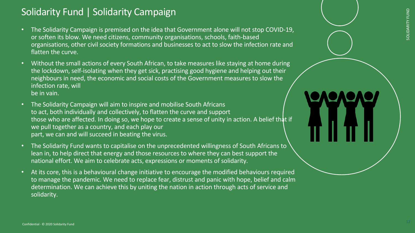





# Solidarity Fund | Solidarity Campaign



- The Solidarity Campaign is premised on the idea that Government alone will not stop COVID-19, or soften its blow. We need citizens, community organisations, schools, faith-based organisations, other civil society formations and businesses to act to slow the infection rate and flatten the curve.
- Without the small actions of every South African, to take measures like staying at home during the lockdown, self-isolating when they get sick, practising good hygiene and helping out their neighbours in need, the economic and social costs of the Government measures to slow the infection rate, will be in vain.
- The Solidarity Campaign will aim to inspire and mobilise South Africans to act, both individually and collectively, to flatten the curve and support those who are affected. In doing so, we hope to create a sense of unity in action. A belief that if we pull together as a country, and each play our part, we can and will succeed in beating the virus.
- The Solidarity Fund wants to capitalise on the unprecedented willingness of South Africans to lean in, to help direct that energy and those resources to where they can best support the national effort. We aim to celebrate acts, expressions or moments of solidarity.
- At its core, this is a behavioural change initiative to encourage the modified behaviours required to manage the pandemic. We need to replace fear, distrust and panic with hope, belief and calm determination. We can achieve this by uniting the nation in action through acts of service and solidarity.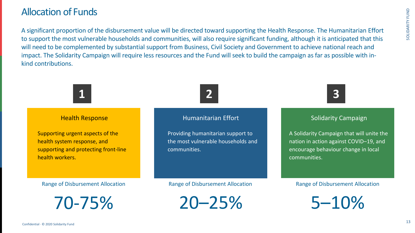





# Allocation of Funds



A significant proportion of the disbursement value will be directed toward supporting the Health Response. The Humanitarian Effort to support the most vulnerable households and communities, will also require significant funding, although it is anticipated that this will need to be complemented by substantial support from Business, Civil Society and Government to achieve national reach and impact. The Solidarity Campaign will require less resources and the Fund will seek to build the campaign as far as possible with inkind contributions.

# **1**

#### Health Response

Supporting urgent aspects of the health system response, and supporting and protecting front-line health workers.



#### Solidarity Campaign

A Solidarity Campaign that will unite the nation in action against COVID–19, and encourage behaviour change in local communities.

## Humanitarian Effort

Providing humanitarian support to the most vulnerable households and communities.

Range of Disbursement Allocation

70-75%

#### Range of Disbursement Allocation

5–10%

Range of Disbursement Allocation

20–25%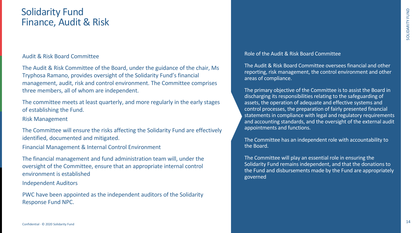

# Solidarity Fund Finance, Audit & Risk

Audit & Risk Board Committee

The Audit & Risk Committee of the Board, under the guidance of the chair, Ms Tryphosa Ramano, provides oversight of the Solidarity Fund's financial management, audit, risk and control environment. The Committee comprises three members, all of whom are independent.

The committee meets at least quarterly, and more regularly in the early stages of establishing the Fund.

Risk Management

The Committee will ensure the risks affecting the Solidarity Fund are effectively identified, documented and mitigated.

Financial Management & Internal Control Environment

The financial management and fund administration team will, under the oversight of the Committee, ensure that an appropriate internal control environment is established

Independent Auditors

PWC have been appointed as the independent auditors of the Solidarity Response Fund NPC.



Role of the Audit & Risk Board Committee

The Audit & Risk Board Committee oversees financial and other reporting, risk management, the control environment and other areas of compliance.

The primary objective of the Committee is to assist the Board in discharging its responsibilities relating to the safeguarding of assets, the operation of adequate and effective systems and control processes, the preparation of fairly presented financial statements in compliance with legal and regulatory requirements and accounting standards, and the oversight of the external audit appointments and functions.

The Committee has an independent role with accountability to the Board.

The Committee will play an essential role in ensuring the Solidarity Fund remains independent, and that the donations to the Fund and disbursements made by the Fund are appropriately governed

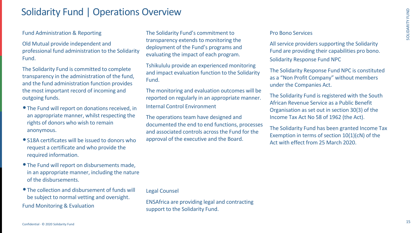

# Solidarity Fund | Operations Overview

#### Fund Administration & Reporting

Old Mutual provide independent and professional fund administration to the Solidarity Fund.

The Solidarity Fund is committed to complete transparency in the administration of the fund, and the fund administration function provides the most important record of incoming and outgoing funds.

- The Fund will report on donations received, in an appropriate manner, whilst respecting the rights of donors who wish to remain anonymous.
- S18A certificates will be issued to donors who request a certificate and who provide the required information.
- •The Fund will report on disbursements made, in an appropriate manner, including the nature of the disbursements.
- The collection and disbursement of funds will be subject to normal vetting and oversight. Fund Monitoring & Evaluation

The Solidarity Fund's commitment to transparency extends to monitoring the deployment of the Fund's programs and evaluating the impact of each program.

Tshikululu provide an experienced monitoring and impact evaluation function to the Solidarity Fund.

The monitoring and evaluation outcomes will be reported on regularly in an appropriate manner. Internal Control Environment

The operations team have designed and documented the end to end functions, processes and associated controls across the Fund for the approval of the executive and the Board.

Legal Counsel

ENSAfrica are providing legal and contracting support to the Solidarity Fund.

#### Pro Bono Services

All service providers supporting the Solidarity Fund are providing their capabilities pro bono. Solidarity Response Fund NPC

The Solidarity Response Fund NPC is constituted as a "Non Profit Company" without members under the Companies Act.

The Solidarity Fund is registered with the South African Revenue Service as a Public Benefit Organisation as set out in section 30(3) of the Income Tax Act No 58 of 1962 (the Act).

The Solidarity Fund has been granted Income Tax Exemption in terms of section 10(1)(cN) of the Act with effect from 25 March 2020.